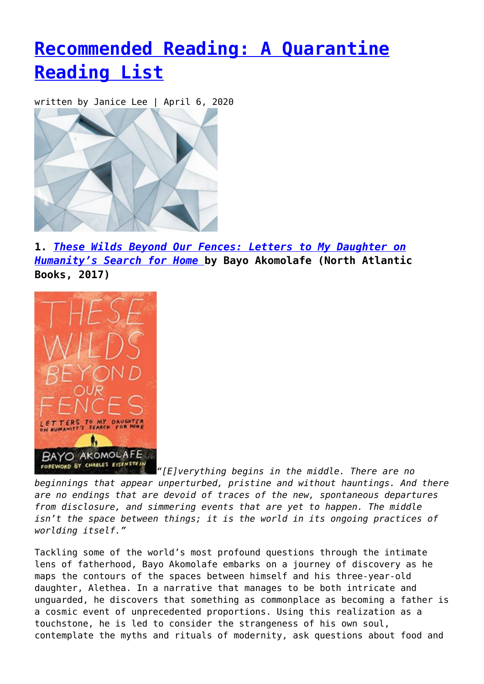# **[Recommended Reading: A Quarantine](https://entropymag.org/recommended-reading-a-quarantine-reading-list/) [Reading List](https://entropymag.org/recommended-reading-a-quarantine-reading-list/)**

written by Janice Lee | April 6, 2020



**1.** *[These Wilds Beyond Our Fences: Letters to My Daughter on](https://amzn.to/3e0jKyA) [Humanity's Search for Home](https://amzn.to/3e0jKyA)* **[b](https://amzn.to/3e0jKyA)y Bayo Akomolafe (North Atlantic Books, 2017)**



*["](https://entropymag.org/wp-content/uploads/2020/04/51yblIQYrfL._SX331_BO1204203200_.jpg)[E]verything begins in the middle. There are no beginnings that appear unperturbed, pristine and without hauntings. And there are no endings that are devoid of traces of the new, spontaneous departures from disclosure, and simmering events that are yet to happen. The middle isn't the space between things; it is the world in its ongoing practices of worlding itself."*

Tackling some of the world's most profound questions through the intimate lens of fatherhood, Bayo Akomolafe embarks on a journey of discovery as he maps the contours of the spaces between himself and his three-year-old daughter, Alethea. In a narrative that manages to be both intricate and unguarded, he discovers that something as commonplace as becoming a father is a cosmic event of unprecedented proportions. Using this realization as a touchstone, he is led to consider the strangeness of his own soul, contemplate the myths and rituals of modernity, ask questions about food and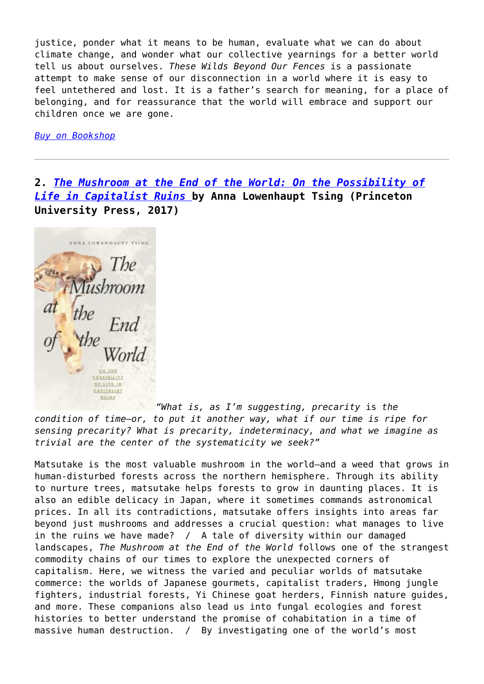justice, ponder what it means to be human, evaluate what we can do about climate change, and wonder what our collective yearnings for a better world tell us about ourselves. *These Wilds Beyond Our Fences* is a passionate attempt to make sense of our disconnection in a world where it is easy to feel untethered and lost. It is a father's search for meaning, for a place of belonging, and for reassurance that the world will embrace and support our children once we are gone.

*[Buy on Bookshop](https://bookshop.org/a/3601/9781623171667)*

**2.** *[The Mushroom at the End of the World: On the Possibility of](https://amzn.to/3dVFHio) [Life in Capitalist Ruins](https://amzn.to/3dVFHio)* **by Anna Lowenhaupt Tsing (Princeton University Press, 2017)**

ANNA LOWENHAUPT TSING POSSIBILITY OF LIFE IN **CAPITALIST BUINS** 

*["](https://entropymag.org/wp-content/uploads/2020/04/9780691178325.jpg)What is, as I'm suggesting, precarity* is *the condition of time—or, to put it another way, what if our time is ripe for sensing precarity? What is precarity, indeterminacy, and what we imagine as trivial are the center of the systematicity we seek?"*

Matsutake is the most valuable mushroom in the world—and a weed that grows in human-disturbed forests across the northern hemisphere. Through its ability to nurture trees, matsutake helps forests to grow in daunting places. It is also an edible delicacy in Japan, where it sometimes commands astronomical prices. In all its contradictions, matsutake offers insights into areas far beyond just mushrooms and addresses a crucial question: what manages to live in the ruins we have made? / A tale of diversity within our damaged landscapes, *The Mushroom at the End of the World* follows one of the strangest commodity chains of our times to explore the unexpected corners of capitalism. Here, we witness the varied and peculiar worlds of matsutake commerce: the worlds of Japanese gourmets, capitalist traders, Hmong jungle fighters, industrial forests, Yi Chinese goat herders, Finnish nature guides, and more. These companions also lead us into fungal ecologies and forest histories to better understand the promise of cohabitation in a time of massive human destruction. / By investigating one of the world's most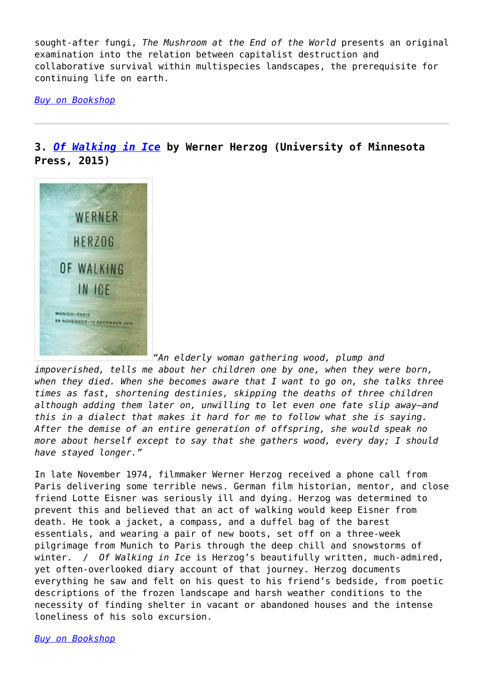sought-after fungi, *The Mushroom at the End of the World* presents an original examination into the relation between capitalist destruction and collaborative survival within multispecies landscapes, the prerequisite for continuing life on earth.

*[Buy on Bookshop](https://bookshop.org/a/3601/9780691178325)*

### **3.** *[Of Walking in Ice](https://amzn.to/3bZZ1JL)* **by Werner Herzog (University of Minnesota Press, 2015)**



*"An elderly woman gathering wood, plump and*

*impoverished, tells me about her children one by one, when they were born, when they died. When she becomes aware that I want to go on, she talks three times as fast, shortening destinies, skipping the deaths of three children although adding them later on, unwilling to let even one fate slip away—and this in a dialect that makes it hard for me to follow what she is saying. After the demise of an entire generation of offspring, she would speak no more about herself except to say that she gathers wood, every day; I should have stayed longer."*

In late November 1974, filmmaker Werner Herzog received a phone call from Paris delivering some terrible news. German film historian, mentor, and close friend Lotte Eisner was seriously ill and dying. Herzog was determined to prevent this and believed that an act of walking would keep Eisner from death. He took a jacket, a compass, and a duffel bag of the barest essentials, and wearing a pair of new boots, set off on a three-week pilgrimage from Munich to Paris through the deep chill and snowstorms of winter. / *Of Walking in Ice* is Herzog's beautifully written, much-admired, yet often-overlooked diary account of that journey. Herzog documents everything he saw and felt on his quest to his friend's bedside, from poetic descriptions of the frozen landscape and harsh weather conditions to the necessity of finding shelter in vacant or abandoned houses and the intense loneliness of his solo excursion.

*[Buy on Bookshop](https://bookshop.org/a/3601/9780816697328)*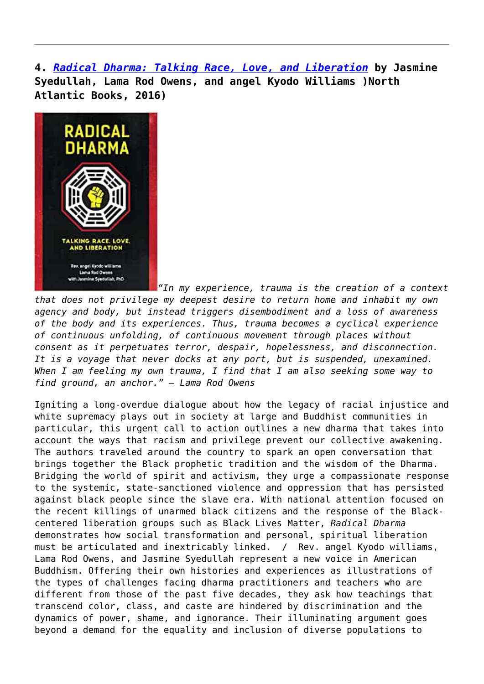**4.** *[Radical Dharma: Talking Race, Love, and Liberation](https://amzn.to/3dVGxM4)* **by Jasmine Syedullah, Lama Rod Owens, and angel Kyodo Williams )North Atlantic Books, 2016)**



*"In my experience, trauma is the creation of a context that does not privilege my deepest desire to return home and inhabit my own agency and body, but instead triggers disembodiment and a loss of awareness of the body and its experiences. Thus, trauma becomes a cyclical experience of continuous unfolding, of continuous movement through places without consent as it perpetuates terror, despair, hopelessness, and disconnection. It is a voyage that never docks at any port, but is suspended, unexamined. When I am feeling my own trauma, I find that I am also seeking some way to find ground, an anchor." – Lama Rod Owens*

Igniting a long-overdue dialogue about how the legacy of racial injustice and white supremacy plays out in society at large and Buddhist communities in particular, this urgent call to action outlines a new dharma that takes into account the ways that racism and privilege prevent our collective awakening. The authors traveled around the country to spark an open conversation that brings together the Black prophetic tradition and the wisdom of the Dharma. Bridging the world of spirit and activism, they urge a compassionate response to the systemic, state-sanctioned violence and oppression that has persisted against black people since the slave era. With national attention focused on the recent killings of unarmed black citizens and the response of the Blackcentered liberation groups such as Black Lives Matter, *Radical Dharma* demonstrates how social transformation and personal, spiritual liberation must be articulated and inextricably linked. / Rev. angel Kyodo williams, Lama Rod Owens, and Jasmine Syedullah represent a new voice in American Buddhism. Offering their own histories and experiences as illustrations of the types of challenges facing dharma practitioners and teachers who are different from those of the past five decades, they ask how teachings that transcend color, class, and caste are hindered by discrimination and the dynamics of power, shame, and ignorance. Their illuminating argument goes beyond a demand for the equality and inclusion of diverse populations to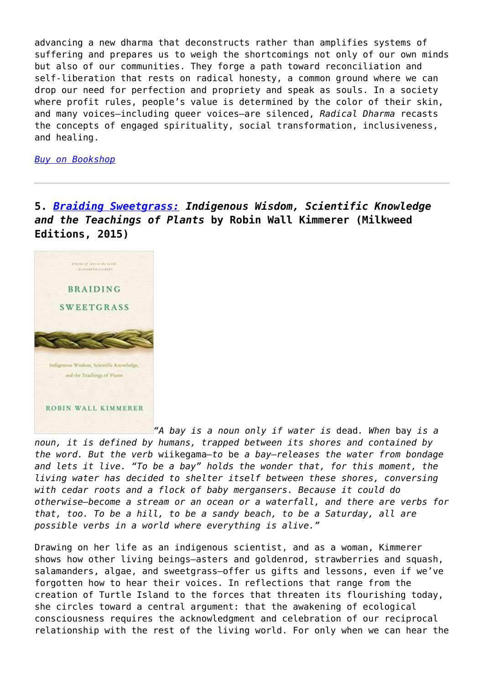advancing a new dharma that deconstructs rather than amplifies systems of suffering and prepares us to weigh the shortcomings not only of our own minds but also of our communities. They forge a path toward reconciliation and self-liberation that rests on radical honesty, a common ground where we can drop our need for perfection and propriety and speak as souls. In a society where profit rules, people's value is determined by the color of their skin, and many voices—including queer voices—are silenced, *Radical Dharma* recasts the concepts of engaged spirituality, social transformation, inclusiveness, and healing.

### *[Buy on Bookshop](https://bookshop.org/a/3601/9781623170981)*

### **5.** *[Braiding Sweetgrass:](https://amzn.to/3aXB0Ta) Indigenous Wisdom, Scientific Knowledge and the Teachings of Plants* **by Robin Wall Kimmerer (Milkweed Editions, 2015)**



*["](https://entropymag.org/wp-content/uploads/2020/04/518pT9D3BDL._SX322_BO1204203200_.jpg)A bay is a noun only if water is* dead*. When* bay *is a noun, it is defined by humans, trapped between its shores and contained by the word. But the verb* wiikegama*—to* be *a bay—releases the water from bondage and lets it live. "To be a bay" holds the wonder that, for this moment, the living water has decided to shelter itself between these shores, conversing with cedar roots and a flock of baby mergansers. Because it could do otherwise—become a stream or an ocean or a waterfall, and there are verbs for that, too. To be a hill, to be a sandy beach, to be a Saturday, all are possible verbs in a world where everything is alive."*

Drawing on her life as an indigenous scientist, and as a woman, Kimmerer shows how other living beings―asters and goldenrod, strawberries and squash, salamanders, algae, and sweetgrass―offer us gifts and lessons, even if we've forgotten how to hear their voices. In reflections that range from the creation of Turtle Island to the forces that threaten its flourishing today, she circles toward a central argument: that the awakening of ecological consciousness requires the acknowledgment and celebration of our reciprocal relationship with the rest of the living world. For only when we can hear the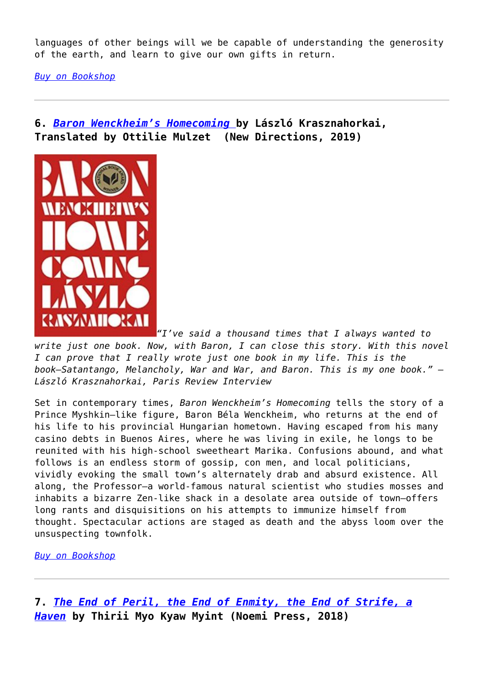languages of other beings will we be capable of understanding the generosity of the earth, and learn to give our own gifts in return.

*[Buy on Bookshop](https://bookshop.org/a/3601/9781571313560)*

**6.** *[Baron Wenckheim's Homecoming](https://amzn.to/34eIOxw)* **by László Krasznahorkai, Translated by Ottilie Mulzet (New Directions, 2019)**



*["](https://entropymag.org/wp-content/uploads/2020/04/51Q75jkrRML._SX331_BO1204203200_.jpg)I've said a thousand times that I always wanted to write just one book. Now, with Baron, I can close this story. With this novel I can prove that I really wrote just one book in my life. This is the book―Satantango, Melancholy, War and War, and Baron. This is my one book." – László Krasznahorkai, Paris Review Interview*

Set in contemporary times, *Baron Wenckheim's Homecoming* tells the story of a Prince Myshkin–like figure, Baron Béla Wenckheim, who returns at the end of his life to his provincial Hungarian hometown. Having escaped from his many casino debts in Buenos Aires, where he was living in exile, he longs to be reunited with his high-school sweetheart Marika. Confusions abound, and what follows is an endless storm of gossip, con men, and local politicians, vividly evoking the small town's alternately drab and absurd existence. All along, the Professor―a world-famous natural scientist who studies mosses and inhabits a bizarre Zen-like shack in a desolate area outside of town―offers long rants and disquisitions on his attempts to immunize himself from thought. Spectacular actions are staged as death and the abyss loom over the unsuspecting townfolk.

*[Buy on Bookshop](https://bookshop.org/a/3601/9780811226646)*

**7.** *[The End of Peril, the End of Enmity, the End of Strife, a](https://www.spdbooks.org/Products/9781934819746/the-end-of-peril-the-end-of-enmity-the-end-of-strife-a-haven.aspx) [Haven](https://www.spdbooks.org/Products/9781934819746/the-end-of-peril-the-end-of-enmity-the-end-of-strife-a-haven.aspx)* **by Thirii Myo Kyaw Myint (Noemi Press, 2018)**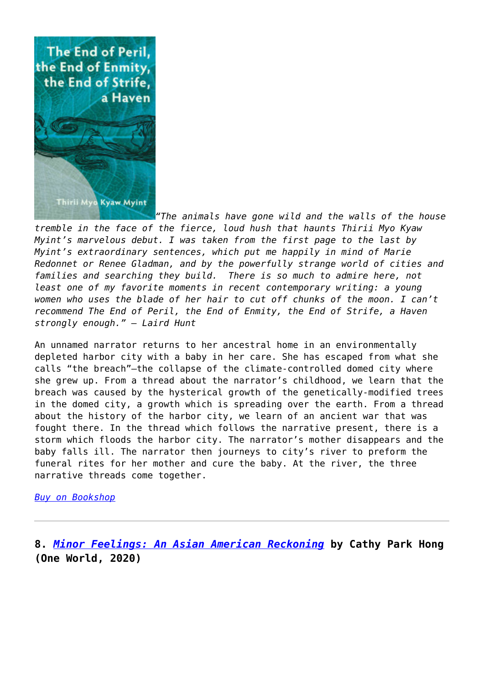

*"The animals have gone wild and the walls of the house tremble in the face of the fierce, loud hush that haunts Thirii Myo Kyaw Myint's marvelous debut. I was taken from the first page to the last by Myint's extraordinary sentences, which put me happily in mind of Marie Redonnet or Renee Gladman, and by the powerfully strange world of cities and families and searching they build. There is so much to admire here, not least one of my favorite moments in recent contemporary writing: a young women who uses the blade of her hair to cut off chunks of the moon. I can't recommend The End of Peril, the End of Enmity, the End of Strife, a Haven strongly enough." – Laird Hunt*

An unnamed narrator returns to her ancestral home in an environmentally depleted harbor city with a baby in her care. She has escaped from what she calls "the breach"—the collapse of the climate-controlled domed city where she grew up. From a thread about the narrator's childhood, we learn that the breach was caused by the hysterical growth of the genetically-modified trees in the domed city, a growth which is spreading over the earth. From a thread about the history of the harbor city, we learn of an ancient war that was fought there. In the thread which follows the narrative present, there is a storm which floods the harbor city. The narrator's mother disappears and the baby falls ill. The narrator then journeys to city's river to preform the funeral rites for her mother and cure the baby. At the river, the three narrative threads come together.

### *[Buy on Bookshop](https://bookshop.org/a/3601/9781934819746)*

**8.** *[Minor Feelings: An Asian American Reckoning](https://amzn.to/2XcDzg8)* **by Cathy Park Hong (One World, 2020)**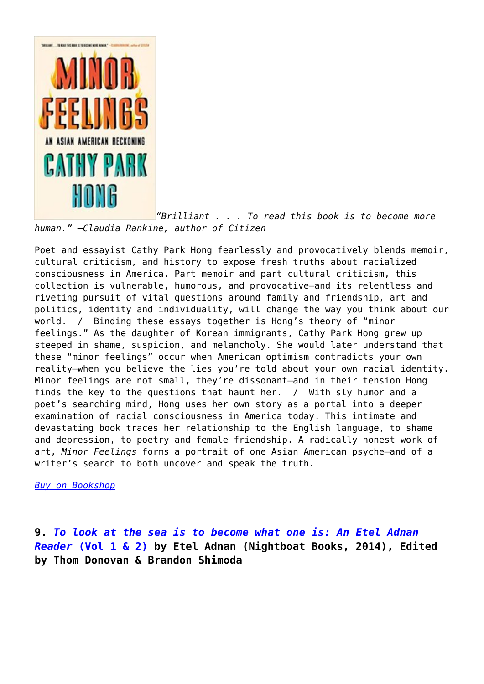

*["](https://entropymag.org/wp-content/uploads/2020/04/51O66GgPbzL._SX329_BO1204203200_.jpg)Brilliant . . . To read this book is to become more human." —Claudia Rankine, author of Citizen*

Poet and essayist Cathy Park Hong fearlessly and provocatively blends memoir, cultural criticism, and history to expose fresh truths about racialized consciousness in America. Part memoir and part cultural criticism, this collection is vulnerable, humorous, and provocative—and its relentless and riveting pursuit of vital questions around family and friendship, art and politics, identity and individuality, will change the way you think about our world. / Binding these essays together is Hong's theory of "minor feelings." As the daughter of Korean immigrants, Cathy Park Hong grew up steeped in shame, suspicion, and melancholy. She would later understand that these "minor feelings" occur when American optimism contradicts your own reality—when you believe the lies you're told about your own racial identity. Minor feelings are not small, they're dissonant—and in their tension Hong finds the key to the questions that haunt her. / With sly humor and a poet's searching mind, Hong uses her own story as a portal into a deeper examination of racial consciousness in America today. This intimate and devastating book traces her relationship to the English language, to shame and depression, to poetry and female friendship. A radically honest work of art, *Minor Feelings* forms a portrait of one Asian American psyche—and of a writer's search to both uncover and speak the truth.

*[Buy on Bookshop](https://bookshop.org/a/3601/9781984820365)*

**9.** *[To look at the sea is to become what one is: An Etel Adnan](https://www.spdbooks.org/Products/9781937658212/to-look-at-the-sea-is-to-become-what-one-is-an-etel-adnan-reader-2-vol-set.aspx) [Reader](https://www.spdbooks.org/Products/9781937658212/to-look-at-the-sea-is-to-become-what-one-is-an-etel-adnan-reader-2-vol-set.aspx)* **[\(Vol 1 & 2\)](https://www.spdbooks.org/Products/9781937658212/to-look-at-the-sea-is-to-become-what-one-is-an-etel-adnan-reader-2-vol-set.aspx) by Etel Adnan (Nightboat Books, 2014), Edited by Thom Donovan & Brandon Shimoda**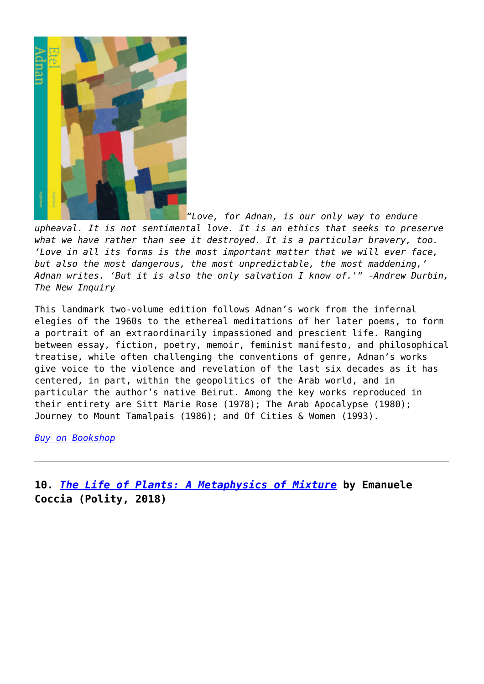

*"Love, for Adnan, is our only way to endure upheaval. It is not sentimental love. It is an ethics that seeks to preserve what we have rather than see it destroyed. It is a particular bravery, too. 'Love in all its forms is the most important matter that we will ever face, but also the most dangerous, the most unpredictable, the most maddening,' Adnan writes. 'But it is also the only salvation I know of.'" -Andrew Durbin, The New Inquiry*

This landmark two-volume edition follows Adnan's work from the infernal elegies of the 1960s to the ethereal meditations of her later poems, to form a portrait of an extraordinarily impassioned and prescient life. Ranging between essay, fiction, poetry, memoir, feminist manifesto, and philosophical treatise, while often challenging the conventions of genre, Adnan's works give voice to the violence and revelation of the last six decades as it has centered, in part, within the geopolitics of the Arab world, and in particular the author's native Beirut. Among the key works reproduced in their entirety are Sitt Marie Rose (1978); The Arab Apocalypse (1980); Journey to Mount Tamalpais (1986); and Of Cities & Women (1993).

*[Buy on Bookshop](https://bookshop.org/a/3601/9781937658212)*

**10.** *[The Life of Plants: A Metaphysics of Mixture](https://amzn.to/34dUD6W)* **by Emanuele Coccia (Polity, 2018)**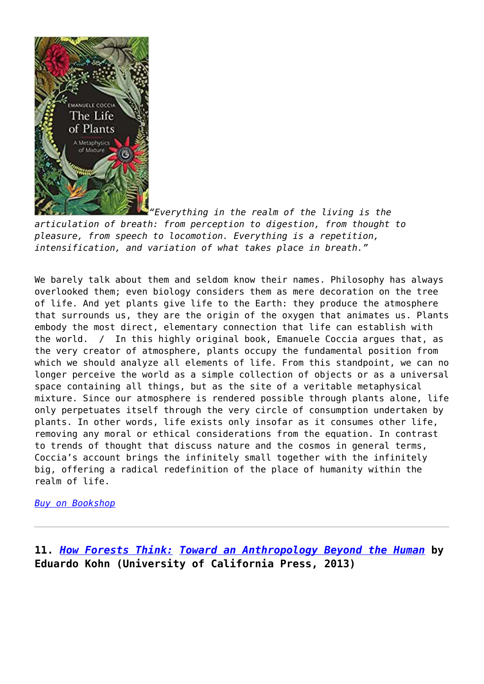

*["](https://entropymag.org/wp-content/uploads/2020/04/index-1.jpg)Everything in the realm of the living is the articulation of breath: from perception to digestion, from thought to pleasure, from speech to locomotion. Everything is a repetition, intensification, and variation of what takes place in breath."*

We barely talk about them and seldom know their names. Philosophy has always overlooked them; even biology considers them as mere decoration on the tree of life. And yet plants give life to the Earth: they produce the atmosphere that surrounds us, they are the origin of the oxygen that animates us. Plants embody the most direct, elementary connection that life can establish with the world. / In this highly original book, Emanuele Coccia argues that, as the very creator of atmosphere, plants occupy the fundamental position from which we should analyze all elements of life. From this standpoint, we can no longer perceive the world as a simple collection of objects or as a universal space containing all things, but as the site of a veritable metaphysical mixture. Since our atmosphere is rendered possible through plants alone, life only perpetuates itself through the very circle of consumption undertaken by plants. In other words, life exists only insofar as it consumes other life, removing any moral or ethical considerations from the equation. In contrast to trends of thought that discuss nature and the cosmos in general terms, Coccia's account brings the infinitely small together with the infinitely big, offering a radical redefinition of the place of humanity within the realm of life.

*[Buy on Bookshop](https://bookshop.org/a/3601/9781509531530)*

**11.** *[How Forests Think:](https://amzn.to/2RbK13u) [Toward an Anthropology Beyond the Human](https://amzn.to/2RbK13u)* **by Eduardo Kohn (University of California Press, 2013)**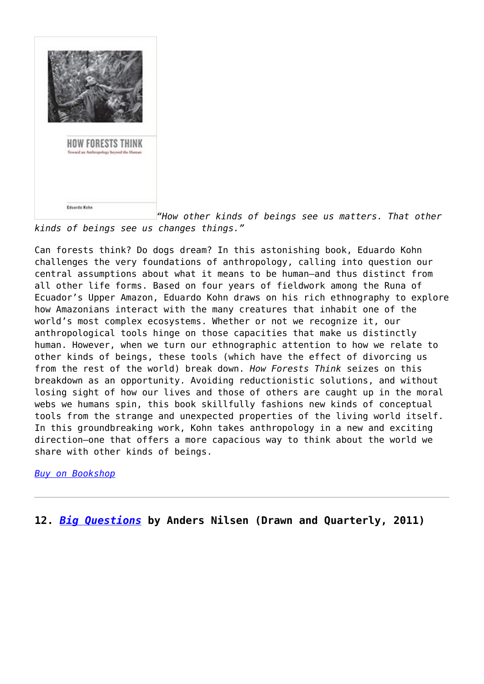

*["](https://entropymag.org/wp-content/uploads/2020/04/417Uv5X42YL._SX331_BO1204203200_.jpg)How other kinds of beings see us matters. That other kinds of beings see us changes things."*

Can forests think? Do dogs dream? In this astonishing book, Eduardo Kohn challenges the very foundations of anthropology, calling into question our central assumptions about what it means to be human―and thus distinct from all other life forms. Based on four years of fieldwork among the Runa of Ecuador's Upper Amazon, Eduardo Kohn draws on his rich ethnography to explore how Amazonians interact with the many creatures that inhabit one of the world's most complex ecosystems. Whether or not we recognize it, our anthropological tools hinge on those capacities that make us distinctly human. However, when we turn our ethnographic attention to how we relate to other kinds of beings, these tools (which have the effect of divorcing us from the rest of the world) break down. *How Forests Think* seizes on this breakdown as an opportunity. Avoiding reductionistic solutions, and without losing sight of how our lives and those of others are caught up in the moral webs we humans spin, this book skillfully fashions new kinds of conceptual tools from the strange and unexpected properties of the living world itself. In this groundbreaking work, Kohn takes anthropology in a new and exciting direction–one that offers a more capacious way to think about the world we share with other kinds of beings.

### *[Buy on Bookshop](https://bookshop.org/a/3601/9780520276116)*

**12.** *[Big Questions](https://amzn.to/2ULzcHj)* **by Anders Nilsen (Drawn and Quarterly, 2011)**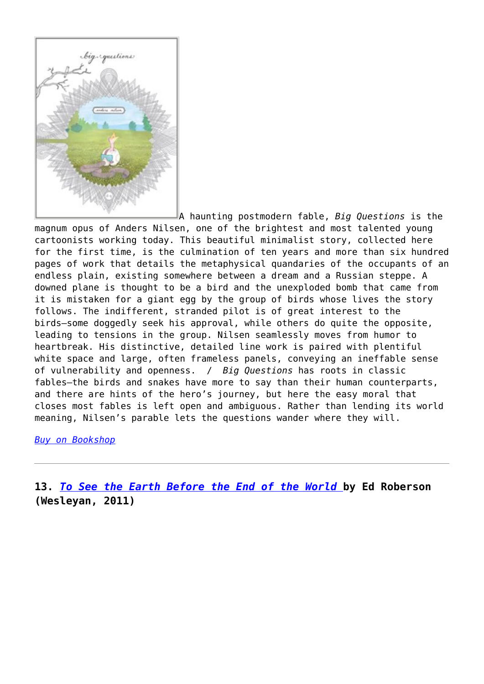

A haunting postmodern fable, *Big Questions* is the magnum opus of Anders Nilsen, one of the brightest and most talented young cartoonists working today. This beautiful minimalist story, collected here for the first time, is the culmination of ten years and more than six hundred pages of work that details the metaphysical quandaries of the occupants of an endless plain, existing somewhere between a dream and a Russian steppe. A downed plane is thought to be a bird and the unexploded bomb that came from it is mistaken for a giant egg by the group of birds whose lives the story follows. The indifferent, stranded pilot is of great interest to the birds―some doggedly seek his approval, while others do quite the opposite, leading to tensions in the group. Nilsen seamlessly moves from humor to heartbreak. His distinctive, detailed line work is paired with plentiful white space and large, often frameless panels, conveying an ineffable sense of vulnerability and openness. / *Big Questions* has roots in classic fables―the birds and snakes have more to say than their human counterparts, and there are hints of the hero's journey, but here the easy moral that closes most fables is left open and ambiguous. Rather than lending its world meaning, Nilsen's parable lets the questions wander where they will.

*[Buy on Bookshop](https://bookshop.org/a/3601/9781770460478)*

**13.** *[To See the Earth Before the End of the World](https://amzn.to/2JJxss2)* **by Ed Roberson (Wesleyan, 2011)**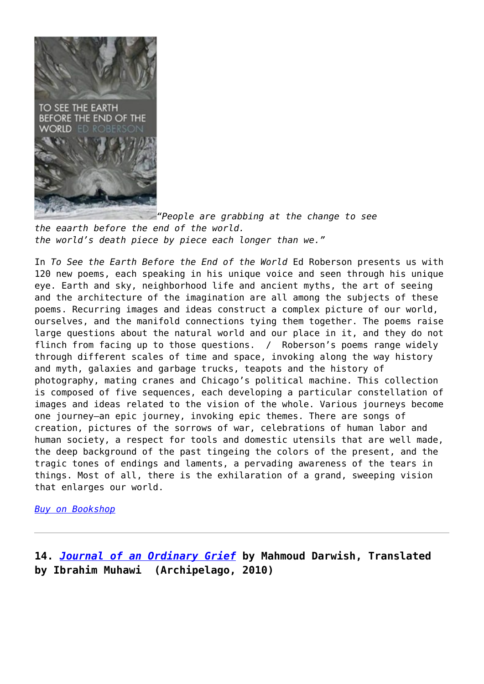

*["](https://entropymag.org/wp-content/uploads/2020/04/41isntLK0LL._SX330_BO1204203200_.jpg)People are grabbing at the change to see the eaarth before the end of the world. the world's death piece by piece each longer than we."*

In *To See the Earth Before the End of the World* Ed Roberson presents us with 120 new poems, each speaking in his unique voice and seen through his unique eye. Earth and sky, neighborhood life and ancient myths, the art of seeing and the architecture of the imagination are all among the subjects of these poems. Recurring images and ideas construct a complex picture of our world, ourselves, and the manifold connections tying them together. The poems raise large questions about the natural world and our place in it, and they do not flinch from facing up to those questions. / Roberson's poems range widely through different scales of time and space, invoking along the way history and myth, galaxies and garbage trucks, teapots and the history of photography, mating cranes and Chicago's political machine. This collection is composed of five sequences, each developing a particular constellation of images and ideas related to the vision of the whole. Various journeys become one journey―an epic journey, invoking epic themes. There are songs of creation, pictures of the sorrows of war, celebrations of human labor and human society, a respect for tools and domestic utensils that are well made, the deep background of the past tingeing the colors of the present, and the tragic tones of endings and laments, a pervading awareness of the tears in things. Most of all, there is the exhilaration of a grand, sweeping vision that enlarges our world.

*[Buy on Bookshop](https://bookshop.org/a/3601/9780819569493)*

**14.** *[Journal of an Ordinary Grief](https://amzn.to/3aNgiW6)* **by Mahmoud Darwish, Translated by Ibrahim Muhawi (Archipelago, 2010)**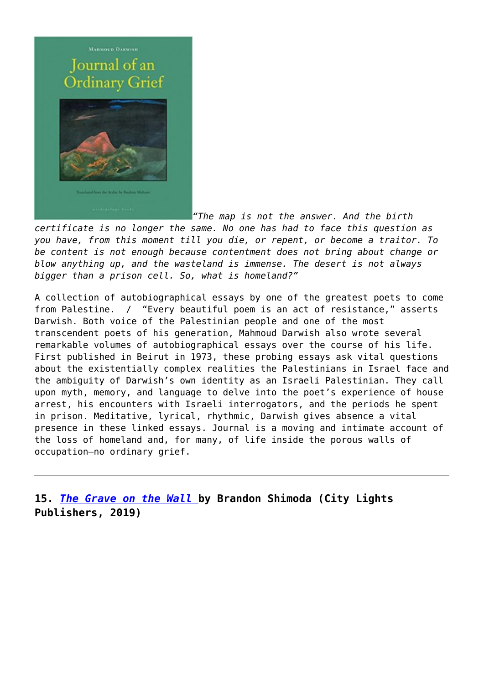# **MARMOUD DARWISH** Journal of an **Ordinary Grief**



*["](https://entropymag.org/wp-content/uploads/2020/04/41O8QZSx1XL._SX429_BO1204203200_.jpg)The map is not the answer. And the birth certificate is no longer the same. No one has had to face this question as you have, from this moment till you die, or repent, or become a traitor. To be content is not enough because contentment does not bring about change or blow anything up, and the wasteland is immense. The desert is not always bigger than a prison cell. So, what is homeland?"*

A collection of autobiographical essays by one of the greatest poets to come from Palestine. / "Every beautiful poem is an act of resistance," asserts Darwish. Both voice of the Palestinian people and one of the most transcendent poets of his generation, Mahmoud Darwish also wrote several remarkable volumes of autobiographical essays over the course of his life. First published in Beirut in 1973, these probing essays ask vital questions about the existentially complex realities the Palestinians in Israel face and the ambiguity of Darwish's own identity as an Israeli Palestinian. They call upon myth, memory, and language to delve into the poet's experience of house arrest, his encounters with Israeli interrogators, and the periods he spent in prison. Meditative, lyrical, rhythmic, Darwish gives absence a vital presence in these linked essays. Journal is a moving and intimate account of the loss of homeland and, for many, of life inside the porous walls of occupation—no ordinary grief.

**15.** *[The Grave on the Wall](https://amzn.to/3dXyvCt)* **by Brandon Shimoda (City Lights Publishers, 2019)**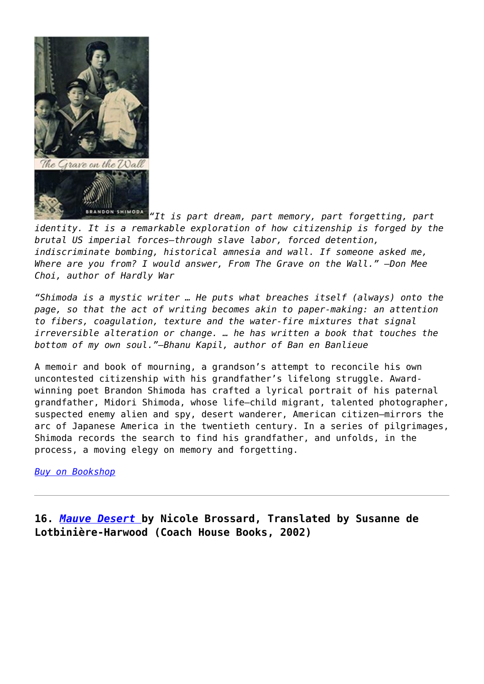

*["](https://entropymag.org/wp-content/uploads/2020/04/51fS8qGAO0L._SX311_BO1204203200_.jpg)It is part dream, part memory, part forgetting, part identity. It is a remarkable exploration of how citizenship is forged by the brutal US imperial forces—through slave labor, forced detention, indiscriminate bombing, historical amnesia and wall. If someone asked me, Where are you from? I would answer, From The Grave on the Wall." —Don Mee Choi, author of Hardly War*

*"Shimoda is a mystic writer … He puts what breaches itself (always) onto the page, so that the act of writing becomes akin to paper-making: an attention to fibers, coagulation, texture and the water-fire mixtures that signal irreversible alteration or change. … he has written a book that touches the bottom of my own soul."—Bhanu Kapil, author of Ban en Banlieue*

A memoir and book of mourning, a grandson's attempt to reconcile his own uncontested citizenship with his grandfather's lifelong struggle. Awardwinning poet Brandon Shimoda has crafted a lyrical portrait of his paternal grandfather, Midori Shimoda, whose life—child migrant, talented photographer, suspected enemy alien and spy, desert wanderer, American citizen—mirrors the arc of Japanese America in the twentieth century. In a series of pilgrimages, Shimoda records the search to find his grandfather, and unfolds, in the process, a moving elegy on memory and forgetting.

### *[Buy on Bookshop](https://bookshop.org/a/3601/9780872867901)*

**16.** *[Mauve Desert](https://amzn.to/2XalT4P)* **by Nicole Brossard, Translated by Susanne de Lotbinière-Harwood (Coach House Books, 2002)**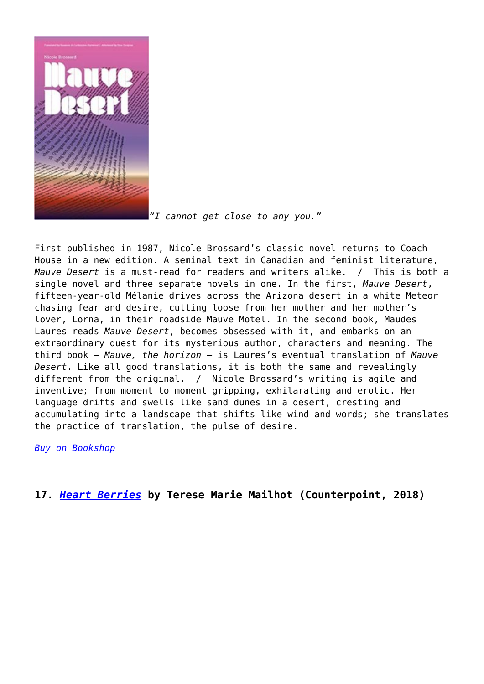

*["](https://entropymag.org/wp-content/uploads/2020/04/51fF9KAy-xL._SX310_BO1204203200_.jpg)I cannot get close to any you."*

First published in 1987, Nicole Brossard's classic novel returns to Coach House in a new edition. A seminal text in Canadian and feminist literature, *Mauve Desert* is a must-read for readers and writers alike. / This is both a single novel and three separate novels in one. In the first, *Mauve Desert*, fifteen-year-old Mélanie drives across the Arizona desert in a white Meteor chasing fear and desire, cutting loose from her mother and her mother's lover, Lorna, in their roadside Mauve Motel. In the second book, Maudes Laures reads *Mauve Desert*, becomes obsessed with it, and embarks on an extraordinary quest for its mysterious author, characters and meaning. The third book – *Mauve, the horizon* – is Laures's eventual translation of *Mauve Desert*. Like all good translations, it is both the same and revealingly different from the original. / Nicole Brossard's writing is agile and inventive; from moment to moment gripping, exhilarating and erotic. Her language drifts and swells like sand dunes in a desert, cresting and accumulating into a landscape that shifts like wind and words; she translates the practice of translation, the pulse of desire.

*[Buy on Bookshop](https://bookshop.org/a/3601/9781552451724)*

**17.** *[Heart Berries](https://amzn.to/2V8Iuw0)* **by Terese Marie Mailhot (Counterpoint, 2018)**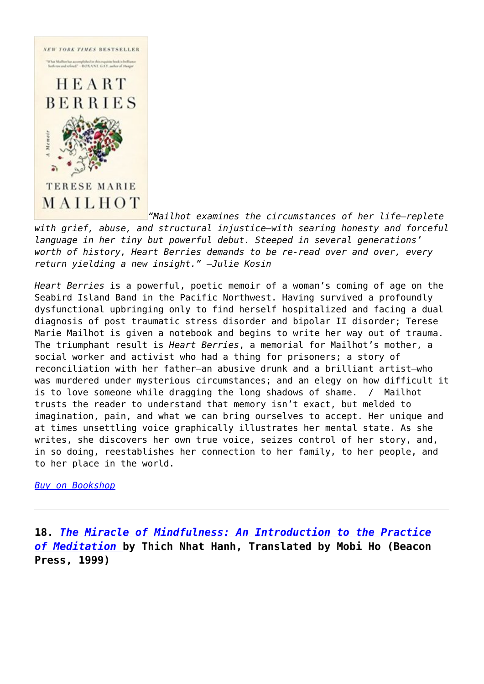

*"Mailhot examines the circumstances of her life―replete with grief, abuse, and structural injustice―with searing honesty and forceful language in her tiny but powerful debut. Steeped in several generations' worth of history, Heart Berries demands to be re-read over and over, every return yielding a new insight." ―Julie Kosin*

*Heart Berries* is a powerful, poetic memoir of a woman's coming of age on the Seabird Island Band in the Pacific Northwest. Having survived a profoundly dysfunctional upbringing only to find herself hospitalized and facing a dual diagnosis of post traumatic stress disorder and bipolar II disorder; Terese Marie Mailhot is given a notebook and begins to write her way out of trauma. The triumphant result is *Heart Berries*, a memorial for Mailhot's mother, a social worker and activist who had a thing for prisoners; a story of reconciliation with her father―an abusive drunk and a brilliant artist―who was murdered under mysterious circumstances; and an elegy on how difficult it is to love someone while dragging the long shadows of shame. / Mailhot trusts the reader to understand that memory isn't exact, but melded to imagination, pain, and what we can bring ourselves to accept. Her unique and at times unsettling voice graphically illustrates her mental state. As she writes, she discovers her own true voice, seizes control of her story, and, in so doing, reestablishes her connection to her family, to her people, and to her place in the world.

*[Buy on Bookshop](https://bookshop.org/a/3601/9781640091603)*

**18.** *[The Miracle of Mindfulness: An Introduction to the Practice](https://amzn.to/3dU2aMZ) [of Meditation](https://amzn.to/3dU2aMZ)* **by Thich Nhat Hanh, Translated by Mobi Ho (Beacon Press, 1999)**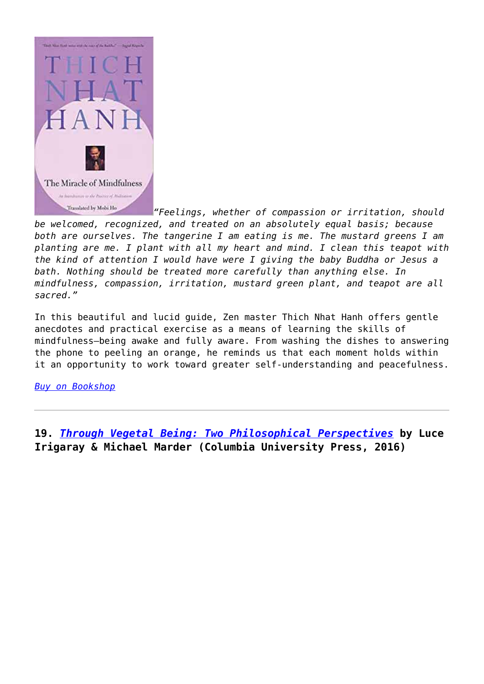

*["](https://entropymag.org/wp-content/uploads/2020/04/index-2.jpg)Feelings, whether of compassion or irritation, should be welcomed, recognized, and treated on an absolutely equal basis; because both are ourselves. The tangerine I am eating is me. The mustard greens I am planting are me. I plant with all my heart and mind. I clean this teapot with the kind of attention I would have were I giving the baby Buddha or Jesus a bath. Nothing should be treated more carefully than anything else. In mindfulness, compassion, irritation, mustard green plant, and teapot are all sacred."*

In this beautiful and lucid guide, Zen master Thich Nhat Hanh offers gentle anecdotes and practical exercise as a means of learning the skills of mindfulness–being awake and fully aware. From washing the dishes to answering the phone to peeling an orange, he reminds us that each moment holds within it an opportunity to work toward greater self-understanding and peacefulness.

### *[Buy on Bookshop](https://bookshop.org/a/3601/9780807012390)*

**19.** *[Through Vegetal Being: Two Philosophical Perspectives](https://amzn.to/2JEEGx9)* **by Luce Irigaray & Michael Marder (Columbia University Press, 2016)**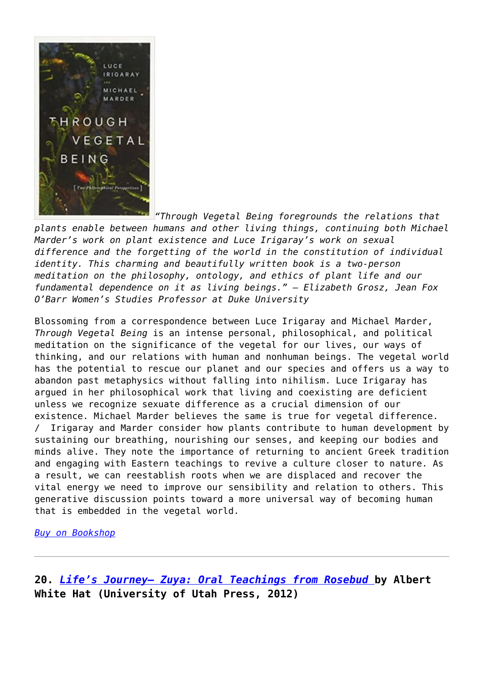

*"Through Vegetal Being foregrounds the relations that plants enable between humans and other living things, continuing both Michael Marder's work on plant existence and Luce Irigaray's work on sexual difference and the forgetting of the world in the constitution of individual identity. This charming and beautifully written book is a two-person meditation on the philosophy, ontology, and ethics of plant life and our fundamental dependence on it as living beings." – Elizabeth Grosz, Jean Fox O'Barr Women's Studies Professor at Duke University*

Blossoming from a correspondence between Luce Irigaray and Michael Marder, *Through Vegetal Being* is an intense personal, philosophical, and political meditation on the significance of the vegetal for our lives, our ways of thinking, and our relations with human and nonhuman beings. The vegetal world has the potential to rescue our planet and our species and offers us a way to abandon past metaphysics without falling into nihilism. Luce Irigaray has argued in her philosophical work that living and coexisting are deficient unless we recognize sexuate difference as a crucial dimension of our existence. Michael Marder believes the same is true for vegetal difference. / Irigaray and Marder consider how plants contribute to human development by sustaining our breathing, nourishing our senses, and keeping our bodies and minds alive. They note the importance of returning to ancient Greek tradition and engaging with Eastern teachings to revive a culture closer to nature. As a result, we can reestablish roots when we are displaced and recover the vital energy we need to improve our sensibility and relation to others. This generative discussion points toward a more universal way of becoming human that is embedded in the vegetal world.

*[Buy on Bookshop](https://bookshop.org/a/3601/9780231173865)*

**20.** *[Life's Journey— Zuya: Oral Teachings from Rosebud](https://amzn.to/2wgc62a)* **by Albert White Hat (University of Utah Press, 2012)**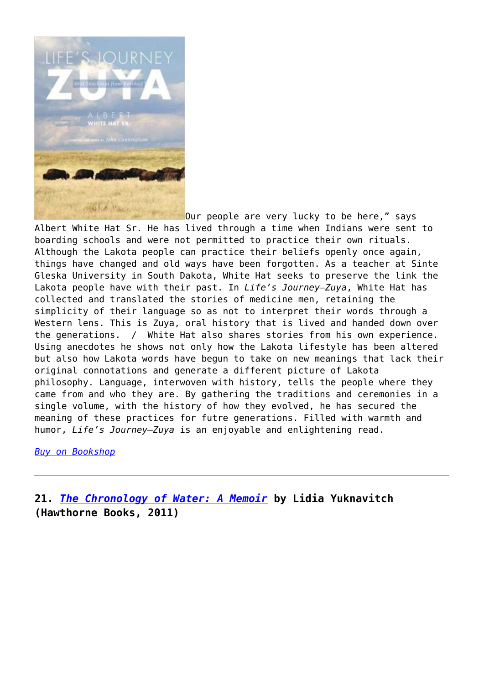

[O](https://entropymag.org/wp-content/uploads/2020/04/414yxmhZfVL._SX410_BO1204203200_.jpg)ur people are very lucky to be here," says Albert White Hat Sr. He has lived through a time when Indians were sent to boarding schools and were not permitted to practice their own rituals. Although the Lakota people can practice their beliefs openly once again, things have changed and old ways have been forgotten. As a teacher at Sinte Gleska University in South Dakota, White Hat seeks to preserve the link the Lakota people have with their past. In *Life's Journey—Zuya*, White Hat has collected and translated the stories of medicine men, retaining the simplicity of their language so as not to interpret their words through a Western lens. This is Zuya, oral history that is lived and handed down over the generations. / White Hat also shares stories from his own experience. Using anecdotes he shows not only how the Lakota lifestyle has been altered but also how Lakota words have begun to take on new meanings that lack their original connotations and generate a different picture of Lakota philosophy. Language, interwoven with history, tells the people where they came from and who they are. By gathering the traditions and ceremonies in a single volume, with the history of how they evolved, he has secured the meaning of these practices for futre generations. Filled with warmth and humor, *Life's Journey—Zuya* is an enjoyable and enlightening read.

*[Buy on Bookshop](https://bookshop.org/a/3601/9781607811848)*

**21.** *[The Chronology of Water: A Memoir](https://amzn.to/2V40uHX)* **by Lidia Yuknavitch (Hawthorne Books, 2011)**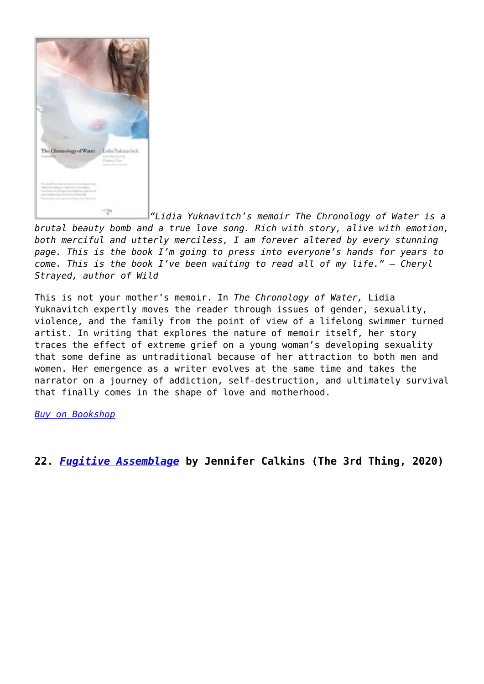

*"Lidia Yuknavitch's memoir The Chronology of Water is a brutal beauty bomb and a true love song. Rich with story, alive with emotion, both merciful and utterly merciless, I am forever altered by every stunning page. This is the book I'm going to press into everyone's hands for years to come. This is the book I've been waiting to read all of my life." – Cheryl Strayed, author of Wild*

This is not your mother's memoir. In *The Chronology of Water,* Lidia Yuknavitch expertly moves the reader through issues of gender, sexuality, violence, and the family from the point of view of a lifelong swimmer turned artist. In writing that explores the nature of memoir itself, her story traces the effect of extreme grief on a young woman's developing sexuality that some define as untraditional because of her attraction to both men and women. Her emergence as a writer evolves at the same time and takes the narrator on a journey of addiction, self-destruction, and ultimately survival that finally comes in the shape of love and motherhood.

*[Buy on Bookshop](https://bookshop.org/a/3601/9780979018831)*

**22.** *[Fugitive Assemblage](https://www.spdbooks.org/Products/9781734407105/fugitive-assemblage.aspx)* **by Jennifer Calkins (The 3rd Thing, 2020)**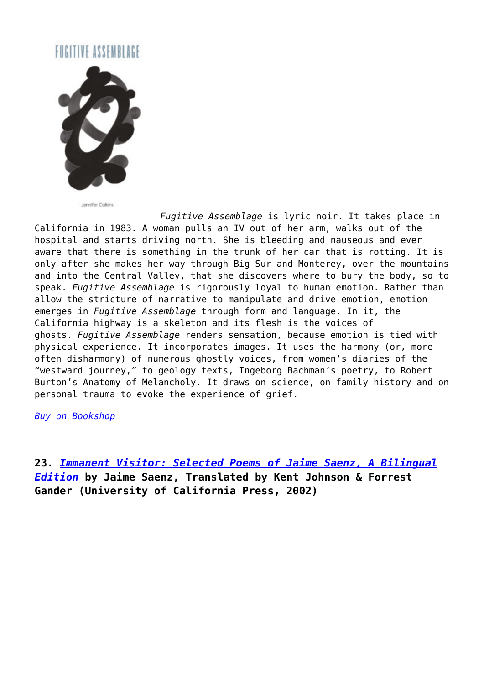# FIGITIVE ASSEMBLAGE



Jennifer Calkins

*Fugitive Assemblage* is lyric noir. It takes place in California in 1983. A woman pulls an IV out of her arm, walks out of the hospital and starts driving north. She is bleeding and nauseous and ever aware that there is something in the trunk of her car that is rotting. It is only after she makes her way through Big Sur and Monterey, over the mountains and into the Central Valley, that she discovers where to bury the body, so to speak. *Fugitive Assemblage* is rigorously loyal to human emotion. Rather than allow the stricture of narrative to manipulate and drive emotion, emotion emerges in *Fugitive Assemblage* through form and language. In it, the California highway is a skeleton and its flesh is the voices of ghosts. *Fugitive Assemblage* renders sensation, because emotion is tied with physical experience. It incorporates images. It uses the harmony (or, more often disharmony) of numerous ghostly voices, from women's diaries of the "westward journey," to geology texts, Ingeborg Bachman's poetry, to Robert Burton's Anatomy of Melancholy. It draws on science, on family history and on personal trauma to evoke the experience of grief.

*[Buy on Bookshop](https://bookshop.org/a/3601/9781734407105)*

**23.** *[Immanent Visitor: Selected Poems of Jaime Saenz, A Bilingual](https://amzn.to/2V4yEeH) [Edition](https://amzn.to/2V4yEeH)* **by Jaime Saenz, Translated by Kent Johnson & Forrest Gander (University of California Press, 2002)**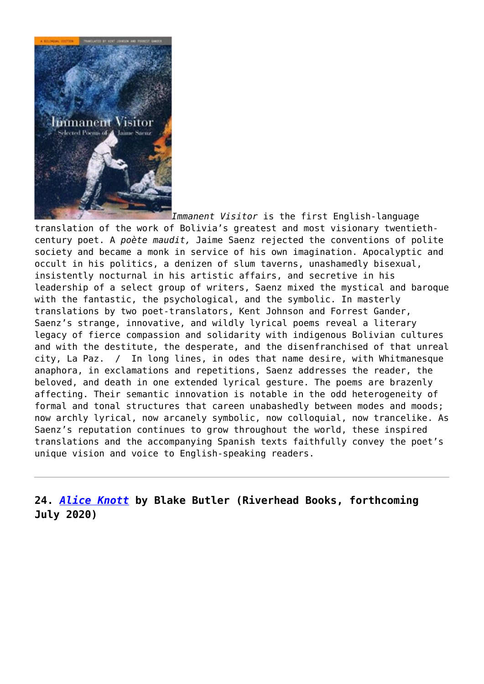

*Immanent Visitor* is the first English-language translation of the work of Bolivia's greatest and most visionary twentiethcentury poet. A *poète maudit,* Jaime Saenz rejected the conventions of polite society and became a monk in service of his own imagination. Apocalyptic and occult in his politics, a denizen of slum taverns, unashamedly bisexual, insistently nocturnal in his artistic affairs, and secretive in his leadership of a select group of writers, Saenz mixed the mystical and baroque with the fantastic, the psychological, and the symbolic. In masterly translations by two poet-translators, Kent Johnson and Forrest Gander, Saenz's strange, innovative, and wildly lyrical poems reveal a literary legacy of fierce compassion and solidarity with indigenous Bolivian cultures and with the destitute, the desperate, and the disenfranchised of that unreal city, La Paz. / In long lines, in odes that name desire, with Whitmanesque anaphora, in exclamations and repetitions, Saenz addresses the reader, the beloved, and death in one extended lyrical gesture. The poems are brazenly affecting. Their semantic innovation is notable in the odd heterogeneity of formal and tonal structures that careen unabashedly between modes and moods; now archly lyrical, now arcanely symbolic, now colloquial, now trancelike. As Saenz's reputation continues to grow throughout the world, these inspired translations and the accompanying Spanish texts faithfully convey the poet's unique vision and voice to English-speaking readers.

**24.** *[Alice Knott](https://amzn.to/2JFPNGf)* **by Blake Butler (Riverhead Books, forthcoming July 2020)**